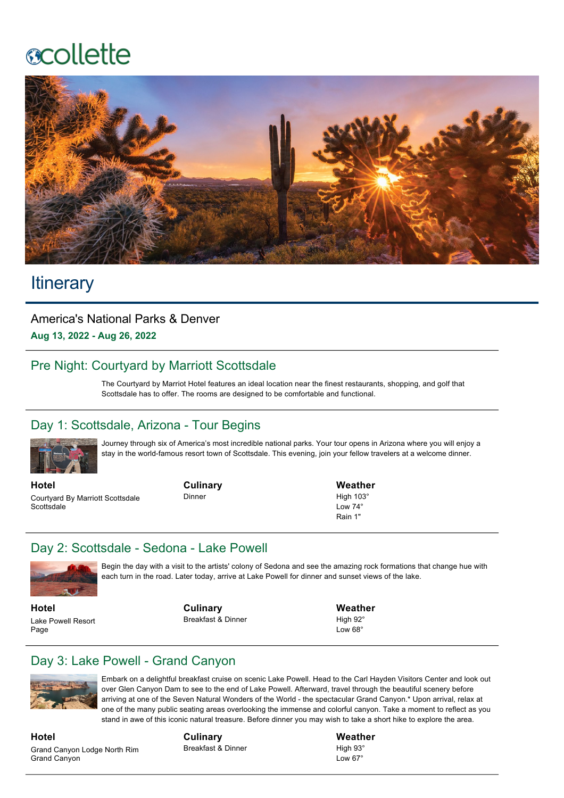## **acollette**



## **Itinerary**

America's National Parks & Denver **Aug 13, 2022 Aug 26, 2022**

## Pre Night: Courtyard by Marriott Scottsdale

The Courtyard by Marriot Hotel features an ideal location near the finest restaurants, shopping, and golf that Scottsdale has to offer. The rooms are designed to be comfortable and functional.

#### Day 1: Scottsdale, Arizona - Tour Begins



Journey through six of America's most incredible national parks. Your tour opens in Arizona where you will enjoy a stay in the world-famous resort town of Scottsdale. This evening, join your fellow travelers at a welcome dinner.

**Hotel** Courtyard By Marriott Scottsdale **Scottsdale** 

**Culinary** Dinner

**Weather** High  $103^\circ$  $Low 74°$ Rain 1"

#### Day 2: Scottsdale - Sedona - Lake Powell



Begin the day with a visit to the artists' colony of Sedona and see the amazing rock formations that change hue with each turn in the road. Later today, arrive at Lake Powell for dinner and sunset views of the lake.

**Hotel** Lake Powell Resort Page

**Culinary** Breakfast & Dinner **Weather** High 92°  $Low 68°$ 

## Day 3: Lake Powell - Grand Canyon



Embark on a delightful breakfast cruise on scenic Lake Powell. Head to the Carl Hayden Visitors Center and look out over Glen Canyon Dam to see to the end of Lake Powell. Afterward, travel through the beautiful scenery before arriving at one of the Seven Natural Wonders of the World - the spectacular Grand Canyon.\* Upon arrival, relax at one of the many public seating areas overlooking the immense and colorful canyon. Take a moment to reflect as you stand in awe of this iconic natural treasure. Before dinner you may wish to take a short hike to explore the area.

**Hotel** Grand Canyon Lodge North Rim Grand Canyon

**Culinary** Breakfast & Dinner **Weather** High 93° Low 67°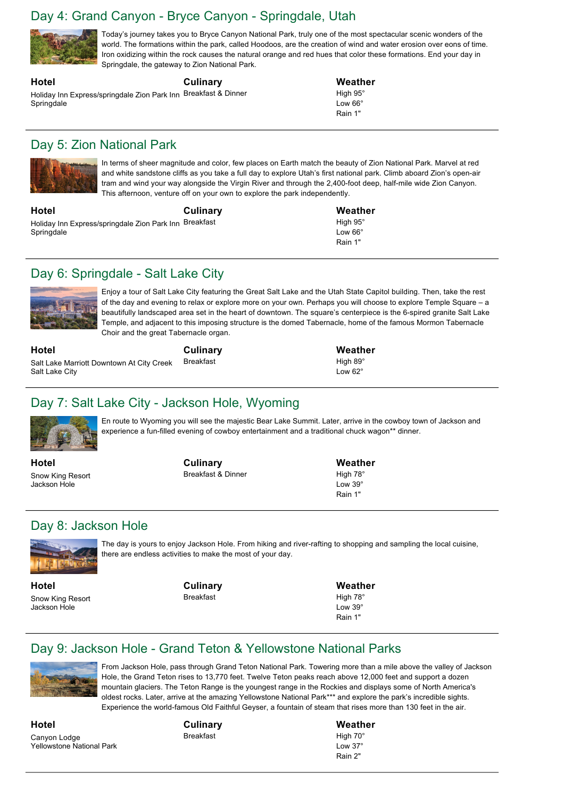#### Day 4: Grand Canyon - Bryce Canyon - Springdale, Utah

**Culinary**



Today's journey takes you to Bryce Canyon National Park, truly one of the most spectacular scenic wonders of the world. The formations within the park, called Hoodoos, are the creation of wind and water erosion over eons of time. Iron oxidizing within the rock causes the natural orange and red hues that color these formations. End your day in Springdale, the gateway to Zion National Park.

#### **Hotel**

Holiday Inn Express/springdale Zion Park Inn Breakfast & Dinner Springdale

#### **Weather** High 95° Low 66° Rain 1"

#### Day 5: Zion National Park



In terms of sheer magnitude and color, few places on Earth match the beauty of Zion National Park. Marvel at red and white sandstone cliffs as you take a full day to explore Utah's first national park. Climb aboard Zion's open-air tram and wind your way alongside the Virgin River and through the 2,400-foot deep, half-mile wide Zion Canyon. This afternoon, venture off on your own to explore the park independently.

**Hotel** Holiday Inn Express/springdale Zion Park Inn Breakfast **Springdale Culinary** **Weather** High 95° Low 66° Rain 1"

**Weather** High 89°  $L_{\text{OM}}$  62 $^{\circ}$ 

## Day 6: Springdale - Salt Lake City



Enjoy a tour of Salt Lake City featuring the Great Salt Lake and the Utah State Capitol building. Then, take the rest of the day and evening to relax or explore more on your own. Perhaps you will choose to explore Temple Square – a beautifully landscaped area set in the heart of downtown. The square's centerpiece is the 6-spired granite Salt Lake Temple, and adjacent to this imposing structure is the domed Tabernacle, home of the famous Mormon Tabernacle Choir and the great Tabernacle organ.

**Hotel**

Salt Lake Marriott Downtown At City Creek Salt Lake City

**Culinary**

Breakfast

## Day 7: Salt Lake City - Jackson Hole, Wyoming



En route to Wyoming you will see the majestic Bear Lake Summit. Later, arrive in the cowboy town of Jackson and experience a fun-filled evening of cowboy entertainment and a traditional chuck wagon\*\* dinner.

**Hotel** Snow King Resort Jackson Hole

**Culinary** Breakfast & Dinner **Weather** High 78° Low 39° Rain 1"

## Day 8: Jackson Hole



The day is yours to enjoy Jackson Hole. From hiking and river-rafting to shopping and sampling the local cuisine, there are endless activities to make the most of your day.

**Hotel** Snow King Resort Jackson Hole

**Culinary** Breakfast

**Weather**

High 78° Low 39<sup>°</sup> Rain 1"

## Day 9: Jackson Hole - Grand Teton & Yellowstone National Parks



From Jackson Hole, pass through Grand Teton National Park. Towering more than a mile above the valley of Jackson Hole, the Grand Teton rises to 13,770 feet. Twelve Teton peaks reach above 12,000 feet and support a dozen mountain glaciers. The Teton Range is the youngest range in the Rockies and displays some of North America's oldest rocks. Later, arrive at the amazing Yellowstone National Park\*\*\* and explore the park's incredible sights. Experience the world-famous Old Faithful Geyser, a fountain of steam that rises more than 130 feet in the air.

**Hotel** Canyon Lodge Yellowstone National Park **Culinary** Breakfast

# **Weather**

High 70° Low 37° Rain 2"